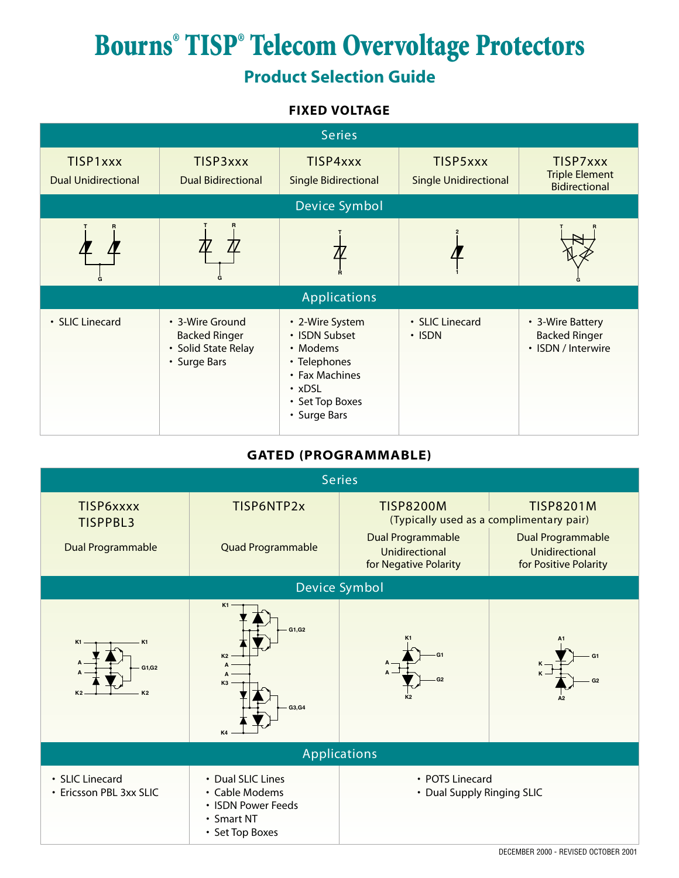## **Bourns® TISP® Telecom Overvoltage Protectors Product Selection Guide**

#### **FIXED VOLTAGE**



#### **GATED (PROGRAMMABLE)**

| <b>Series</b>                              |                                                                                            |                                                                     |                                                                     |  |  |  |  |  |
|--------------------------------------------|--------------------------------------------------------------------------------------------|---------------------------------------------------------------------|---------------------------------------------------------------------|--|--|--|--|--|
| TISP6xxxx<br><b>TISPPBL3</b>               | TISP6NTP2x<br><b>TISP8200M</b>                                                             |                                                                     | <b>TISP8201M</b><br>(Typically used as a complimentary pair)        |  |  |  |  |  |
| Dual Programmable                          | Quad Programmable                                                                          | Dual Programmable<br><b>Unidirectional</b><br>for Negative Polarity | Dual Programmable<br><b>Unidirectional</b><br>for Positive Polarity |  |  |  |  |  |
| Device Symbol                              |                                                                                            |                                                                     |                                                                     |  |  |  |  |  |
| K1<br>G1,G2<br>K <sub>2</sub>              | K1<br>G1, G2<br><b>K2</b><br>A<br>A<br>K <sub>3</sub><br>G3, G4                            | G <sub>2</sub>                                                      | G <sub>1</sub><br>G <sub>2</sub>                                    |  |  |  |  |  |
| <b>Applications</b>                        |                                                                                            |                                                                     |                                                                     |  |  |  |  |  |
| • SLIC Linecard<br>• Ericsson PBL 3xx SLIC | • Dual SLIC Lines<br>• Cable Modems<br>• ISDN Power Feeds<br>• Smart NT<br>• Set Top Boxes | • POTS Linecard<br>• Dual Supply Ringing SLIC                       |                                                                     |  |  |  |  |  |